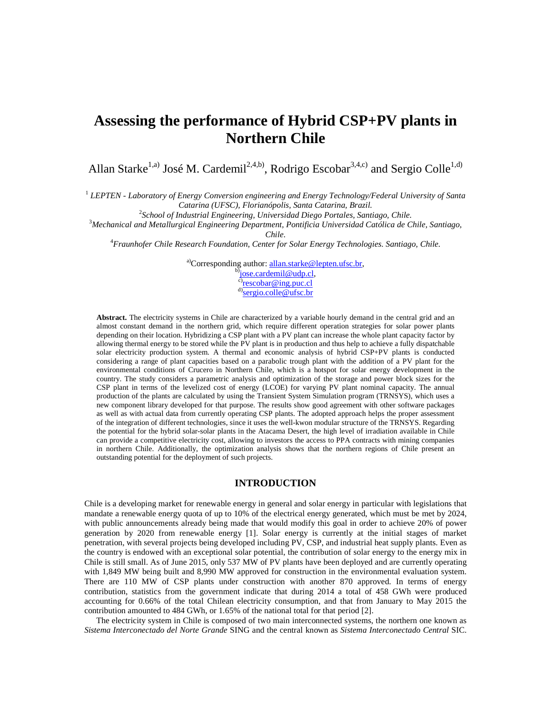# **Assessing the performance of Hybrid CSP+PV plants in Northern Chile**

Allan Starke<sup>1,a)</sup> José M. Cardemil<sup>2,4,b)</sup>, Rodrigo Escobar<sup>3,4,c)</sup> and Sergio Colle<sup>1,d)</sup>

1 *LEPTEN - Laboratory of Energy Conversion engineering and Energy Technology/Federal University of Santa Catarina (UFSC), Florianópolis, Santa Catarina, Brazil.* 

<sup>2</sup> School of Industrial Engineering, Universidad Diego Portales, Santiago, Chile.

<sup>3</sup>*Mechanical and Metallurgical Engineering Department, Pontificia Universidad Católica de Chile, Santiago, Chile*.

4 *Fraunhofer Chile Research Foundation, Center for Solar Energy Technologies. Santiago, Chile.* 

<sup>a)</sup>Corresponding author: **allan.starke@lepten.ufsc.br**, b)<sub>jose.cardemil@udp.cl</sub>

<sup>c)</sup>rescobar@ing.puc.cl

<sup>d)</sup>sergio.colle@ufsc.br

**Abstract.** The electricity systems in Chile are characterized by a variable hourly demand in the central grid and an almost constant demand in the northern grid, which require different operation strategies for solar power plants depending on their location. Hybridizing a CSP plant with a PV plant can increase the whole plant capacity factor by allowing thermal energy to be stored while the PV plant is in production and thus help to achieve a fully dispatchable solar electricity production system. A thermal and economic analysis of hybrid CSP+PV plants is conducted considering a range of plant capacities based on a parabolic trough plant with the addition of a PV plant for the environmental conditions of Crucero in Northern Chile, which is a hotspot for solar energy development in the country. The study considers a parametric analysis and optimization of the storage and power block sizes for the CSP plant in terms of the levelized cost of energy (LCOE) for varying PV plant nominal capacity. The annual production of the plants are calculated by using the Transient System Simulation program (TRNSYS), which uses a new component library developed for that purpose. The results show good agreement with other software packages as well as with actual data from currently operating CSP plants. The adopted approach helps the proper assessment of the integration of different technologies, since it uses the well-kwon modular structure of the TRNSYS. Regarding the potential for the hybrid solar-solar plants in the Atacama Desert, the high level of irradiation available in Chile can provide a competitive electricity cost, allowing to investors the access to PPA contracts with mining companies in northern Chile. Additionally, the optimization analysis shows that the northern regions of Chile present an outstanding potential for the deployment of such projects.

## **INTRODUCTION**

Chile is a developing market for renewable energy in general and solar energy in particular with legislations that mandate a renewable energy quota of up to 10% of the electrical energy generated, which must be met by 2024, with public announcements already being made that would modify this goal in order to achieve 20% of power generation by 2020 from renewable energy [1]. Solar energy is currently at the initial stages of market penetration, with several projects being developed including PV, CSP, and industrial heat supply plants. Even as the country is endowed with an exceptional solar potential, the contribution of solar energy to the energy mix in Chile is still small. As of June 2015, only 537 MW of PV plants have been deployed and are currently operating with 1,849 MW being built and 8,990 MW approved for construction in the environmental evaluation system. There are 110 MW of CSP plants under construction with another 870 approved. In terms of energy contribution, statistics from the government indicate that during 2014 a total of 458 GWh were produced accounting for 0.66% of the total Chilean electricity consumption, and that from January to May 2015 the contribution amounted to 484 GWh, or 1.65% of the national total for that period [2].

The electricity system in Chile is composed of two main interconnected systems, the northern one known as *Sistema Interconectado del Norte Grande* SING and the central known as *Sistema Interconectado Central* SIC.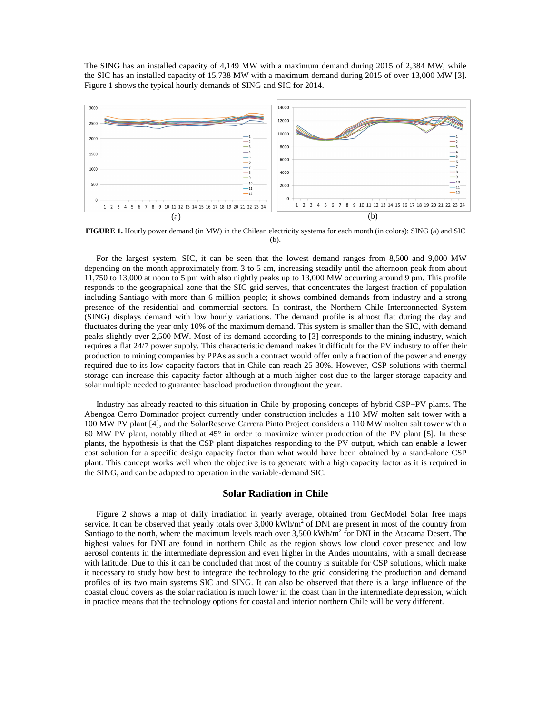The SING has an installed capacity of 4,149 MW with a maximum demand during 2015 of 2,384 MW, while the SIC has an installed capacity of 15,738 MW with a maximum demand during 2015 of over 13,000 MW [3]. Figure 1 shows the typical hourly demands of SING and SIC for 2014.



**FIGURE 1.** Hourly power demand (in MW) in the Chilean electricity systems for each month (in colors): SING (a) and SIC (b).

For the largest system, SIC, it can be seen that the lowest demand ranges from 8,500 and 9,000 MW depending on the month approximately from 3 to 5 am, increasing steadily until the afternoon peak from about 11,750 to 13,000 at noon to 5 pm with also nightly peaks up to 13,000 MW occurring around 9 pm. This profile responds to the geographical zone that the SIC grid serves, that concentrates the largest fraction of population including Santiago with more than 6 million people; it shows combined demands from industry and a strong presence of the residential and commercial sectors. In contrast, the Northern Chile Interconnected System (SING) displays demand with low hourly variations. The demand profile is almost flat during the day and fluctuates during the year only 10% of the maximum demand. This system is smaller than the SIC, with demand peaks slightly over 2,500 MW. Most of its demand according to [3] corresponds to the mining industry, which requires a flat 24/7 power supply. This characteristic demand makes it difficult for the PV industry to offer their production to mining companies by PPAs as such a contract would offer only a fraction of the power and energy required due to its low capacity factors that in Chile can reach 25-30%. However, CSP solutions with thermal storage can increase this capacity factor although at a much higher cost due to the larger storage capacity and solar multiple needed to guarantee baseload production throughout the year.

Industry has already reacted to this situation in Chile by proposing concepts of hybrid CSP+PV plants. The Abengoa Cerro Dominador project currently under construction includes a 110 MW molten salt tower with a 100 MW PV plant [4], and the SolarReserve Carrera Pinto Project considers a 110 MW molten salt tower with a 60 MW PV plant, notably tilted at 45° in order to maximize winter production of the PV plant [5]. In these plants, the hypothesis is that the CSP plant dispatches responding to the PV output, which can enable a lower cost solution for a specific design capacity factor than what would have been obtained by a stand-alone CSP plant. This concept works well when the objective is to generate with a high capacity factor as it is required in the SING, and can be adapted to operation in the variable-demand SIC.

#### **Solar Radiation in Chile**

Figure 2 shows a map of daily irradiation in yearly average, obtained from GeoModel Solar free maps service. It can be observed that yearly totals over  $3,000$  kWh/m<sup>2</sup> of DNI are present in most of the country from Santiago to the north, where the maximum levels reach over  $3,500$  kWh/m<sup>2</sup> for DNI in the Atacama Desert. The highest values for DNI are found in northern Chile as the region shows low cloud cover presence and low aerosol contents in the intermediate depression and even higher in the Andes mountains, with a small decrease with latitude. Due to this it can be concluded that most of the country is suitable for CSP solutions, which make it necessary to study how best to integrate the technology to the grid considering the production and demand profiles of its two main systems SIC and SING. It can also be observed that there is a large influence of the coastal cloud covers as the solar radiation is much lower in the coast than in the intermediate depression, which in practice means that the technology options for coastal and interior northern Chile will be very different.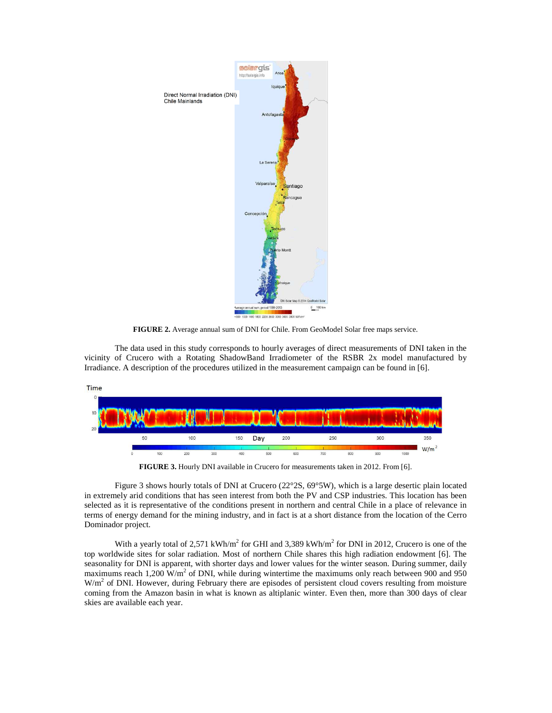

**FIGURE 2.** Average annual sum of DNI for Chile. From GeoModel Solar free maps service.

The data used in this study corresponds to hourly averages of direct measurements of DNI taken in the vicinity of Crucero with a Rotating ShadowBand Irradiometer of the RSBR 2x model manufactured by Irradiance. A description of the procedures utilized in the measurement campaign can be found in [6].



**FIGURE 3.** Hourly DNI available in Crucero for measurements taken in 2012. From [6].

Figure 3 shows hourly totals of DNI at Crucero (22°2S, 69°5W), which is a large desertic plain located in extremely arid conditions that has seen interest from both the PV and CSP industries. This location has been selected as it is representative of the conditions present in northern and central Chile in a place of relevance in terms of energy demand for the mining industry, and in fact is at a short distance from the location of the Cerro Dominador project.

With a yearly total of 2,571 kWh/m<sup>2</sup> for GHI and 3,389 kWh/m<sup>2</sup> for DNI in 2012, Crucero is one of the top worldwide sites for solar radiation. Most of northern Chile shares this high radiation endowment [6]. The seasonality for DNI is apparent, with shorter days and lower values for the winter season. During summer, daily maximums reach 1,200  $\text{W/m}^2$  of DNI, while during wintertime the maximums only reach between 900 and 950  $W/m<sup>2</sup>$  of DNI. However, during February there are episodes of persistent cloud covers resulting from moisture coming from the Amazon basin in what is known as altiplanic winter. Even then, more than 300 days of clear skies are available each year.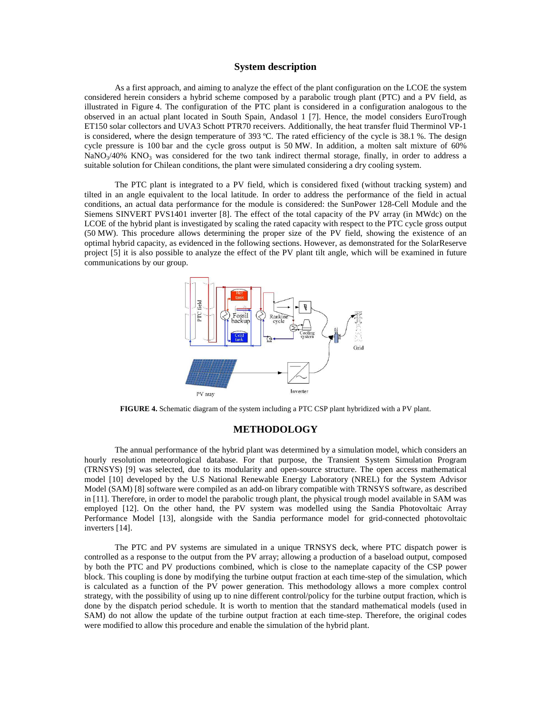# **System description**

As a first approach, and aiming to analyze the effect of the plant configuration on the LCOE the system considered herein considers a hybrid scheme composed by a parabolic trough plant (PTC) and a PV field, as illustrated in Figure 4. The configuration of the PTC plant is considered in a configuration analogous to the observed in an actual plant located in South Spain, Andasol 1 [7]. Hence, the model considers EuroTrough ET150 solar collectors and UVA3 Schott PTR70 receivers. Additionally, the heat transfer fluid Therminol VP-1 is considered, where the design temperature of 393 ºC. The rated efficiency of the cycle is 38.1 %. The design cycle pressure is 100 bar and the cycle gross output is 50 MW. In addition, a molten salt mixture of 60% NaNO<sub>3</sub>/40% KNO<sub>3</sub> was considered for the two tank indirect thermal storage, finally, in order to address a suitable solution for Chilean conditions, the plant were simulated considering a dry cooling system.

The PTC plant is integrated to a PV field, which is considered fixed (without tracking system) and tilted in an angle equivalent to the local latitude. In order to address the performance of the field in actual conditions, an actual data performance for the module is considered: the SunPower 128-Cell Module and the Siemens SINVERT PVS1401 inverter [8]. The effect of the total capacity of the PV array (in MWdc) on the LCOE of the hybrid plant is investigated by scaling the rated capacity with respect to the PTC cycle gross output (50 MW). This procedure allows determining the proper size of the PV field, showing the existence of an optimal hybrid capacity, as evidenced in the following sections. However, as demonstrated for the SolarReserve project [5] it is also possible to analyze the effect of the PV plant tilt angle, which will be examined in future communications by our group.



**FIGURE 4.** Schematic diagram of the system including a PTC CSP plant hybridized with a PV plant.

#### **METHODOLOGY**

The annual performance of the hybrid plant was determined by a simulation model, which considers an hourly resolution meteorological database. For that purpose, the Transient System Simulation Program (TRNSYS) [9] was selected, due to its modularity and open-source structure. The open access mathematical model [10] developed by the U.S National Renewable Energy Laboratory (NREL) for the System Advisor Model (SAM) [8] software were compiled as an add-on library compatible with TRNSYS software, as described in [11]. Therefore, in order to model the parabolic trough plant, the physical trough model available in SAM was employed [12]. On the other hand, the PV system was modelled using the Sandia Photovoltaic Array Performance Model [13], alongside with the Sandia performance model for grid-connected photovoltaic inverters [14].

The PTC and PV systems are simulated in a unique TRNSYS deck, where PTC dispatch power is controlled as a response to the output from the PV array; allowing a production of a baseload output, composed by both the PTC and PV productions combined, which is close to the nameplate capacity of the CSP power block. This coupling is done by modifying the turbine output fraction at each time-step of the simulation, which is calculated as a function of the PV power generation. This methodology allows a more complex control strategy, with the possibility of using up to nine different control/policy for the turbine output fraction, which is done by the dispatch period schedule. It is worth to mention that the standard mathematical models (used in SAM) do not allow the update of the turbine output fraction at each time-step. Therefore, the original codes were modified to allow this procedure and enable the simulation of the hybrid plant.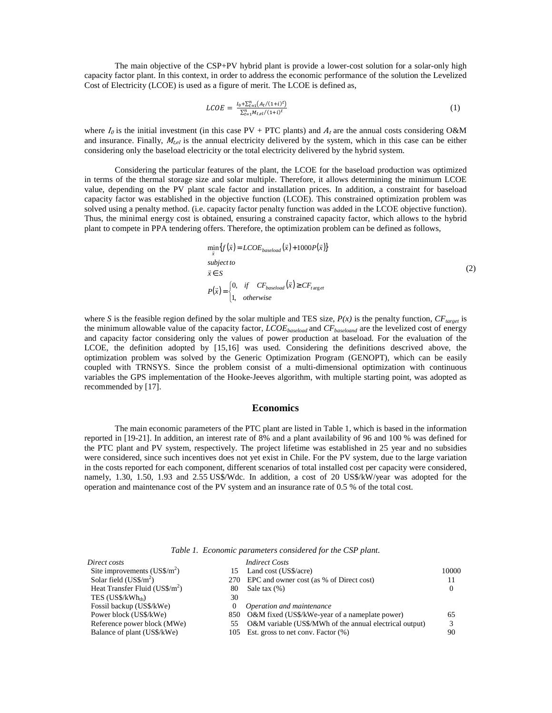The main objective of the CSP+PV hybrid plant is provide a lower-cost solution for a solar-only high capacity factor plant. In this context, in order to address the economic performance of the solution the Levelized Cost of Electricity (LCOE) is used as a figure of merit. The LCOE is defined as,

$$
LCOE = \frac{I_0 + \sum_{t=1}^{n} (A_t/(1+i)^t)}{\sum_{t=1}^{n} M_{t,el}/(1+i)^t}
$$
 (1)

where  $I_0$  is the initial investment (in this case PV + PTC plants) and  $A_t$  are the annual costs considering O&M and insurance. Finally,  $M_{teel}$  is the annual electricity delivered by the system, which in this case can be either considering only the baseload electricity or the total electricity delivered by the hybrid system.

Considering the particular features of the plant, the LCOE for the baseload production was optimized in terms of the thermal storage size and solar multiple. Therefore, it allows determining the minimum LCOE value, depending on the PV plant scale factor and installation prices. In addition, a constraint for baseload capacity factor was established in the objective function (LCOE). This constrained optimization problem was solved using a penalty method. (i.e. capacity factor penalty function was added in the LCOE objective function). Thus, the minimal energy cost is obtained, ensuring a constrained capacity factor, which allows to the hybrid plant to compete in PPA tendering offers. Therefore, the optimization problem can be defined as follows,

r r r

$$
\min_{\overline{x}} \{ f(\overline{x}) = LCOE_{basedoad}(\overline{x}) + 1000P(\overline{x}) \}
$$
\n
$$
subject to
$$
\n
$$
\overline{x} \in S
$$
\n
$$
P(\overline{x}) = \begin{cases} 0, & \text{if } CF_{based}(\overline{x}) \ge CF_{target} \\ 1, & \text{otherwise} \end{cases}
$$
\n
$$
(2)
$$

where *S* is the feasible region defined by the solar multiple and TES size,  $P(x)$  is the penalty function,  $CF_{\text{target}}$  is the minimum allowable value of the capacity factor, *LCOEbaseload* and *CFbaseloand* are the levelized cost of energy and capacity factor considering only the values of power production at baseload. For the evaluation of the LCOE, the definition adopted by [15,16] was used. Considering the definitions descrived above, the optimization problem was solved by the Generic Optimization Program (GENOPT), which can be easily coupled with TRNSYS. Since the problem consist of a multi-dimensional optimization with continuous variables the GPS implementation of the Hooke-Jeeves algorithm, with multiple starting point, was adopted as recommended by [17].

# **Economics**

The main economic parameters of the PTC plant are listed in Table 1, which is based in the information reported in [19-21]. In addition, an interest rate of 8% and a plant availability of 96 and 100 % was defined for the PTC plant and PV system, respectively. The project lifetime was established in 25 year and no subsidies were considered, since such incentives does not yet exist in Chile. For the PV system, due to the large variation in the costs reported for each component, different scenarios of total installed cost per capacity were considered, namely, 1.30, 1.50, 1.93 and 2.55 US\$/Wdc. In addition, a cost of 20 US\$/kW/year was adopted for the operation and maintenance cost of the PV system and an insurance rate of 0.5 % of the total cost.

*Table 1. Economic parameters considered for the CSP plant.* 

| Direct costs                                  | <i>Indirect Costs</i>                                   |          |
|-----------------------------------------------|---------------------------------------------------------|----------|
| Site improvements $(US\$/m^2)$<br>15.         | Land cost (US\$/acre)                                   | 10000    |
| Solar field $(US\frac{6}{m^2})$               | 270 EPC and owner cost (as % of Direct cost)            |          |
| Heat Transfer Fluid $(US\frac{2}{m^2})$<br>80 | Sale tax $(\%)$                                         | $\Omega$ |
| TES $(US$/kWhth)$<br>30                       |                                                         |          |
| Fossil backup (US\$/kWe)<br>0                 | Operation and maintenance                               |          |
| Power block (US\$/kWe)                        | 850 O&M fixed (US\$/kWe-year of a nameplate power)      | 65       |
| Reference power block (MWe)<br>55             | O&M variable (US\$/MWh of the annual electrical output) | 3        |
| Balance of plant (US\$/kWe)                   | 105 Est. gross to net conv. Factor (%)                  | 90       |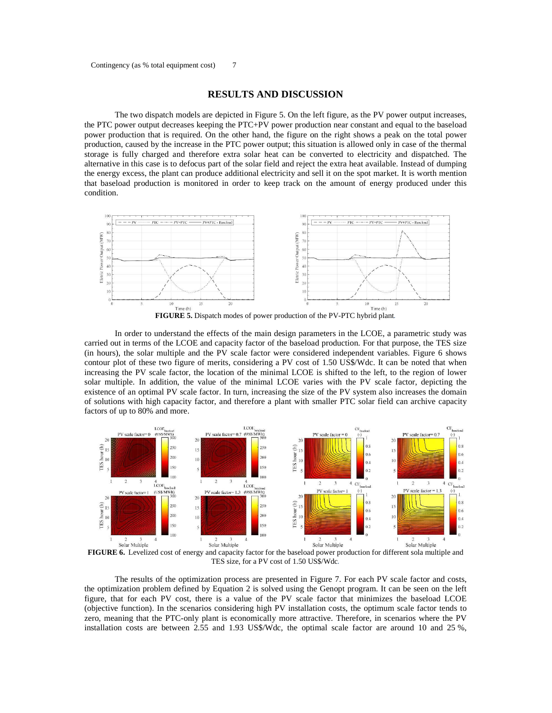# **RESULTS AND DISCUSSION**

The two dispatch models are depicted in Figure 5. On the left figure, as the PV power output increases, the PTC power output decreases keeping the PTC+PV power production near constant and equal to the baseload power production that is required. On the other hand, the figure on the right shows a peak on the total power production, caused by the increase in the PTC power output; this situation is allowed only in case of the thermal storage is fully charged and therefore extra solar heat can be converted to electricity and dispatched. The alternative in this case is to defocus part of the solar field and reject the extra heat available. Instead of dumping the energy excess, the plant can produce additional electricity and sell it on the spot market. It is worth mention that baseload production is monitored in order to keep track on the amount of energy produced under this condition.



In order to understand the effects of the main design parameters in the LCOE, a parametric study was carried out in terms of the LCOE and capacity factor of the baseload production. For that purpose, the TES size (in hours), the solar multiple and the PV scale factor were considered independent variables. Figure 6 shows contour plot of these two figure of merits, considering a PV cost of 1.50 US\$/Wdc. It can be noted that when increasing the PV scale factor, the location of the minimal LCOE is shifted to the left, to the region of lower solar multiple. In addition, the value of the minimal LCOE varies with the PV scale factor, depicting the existence of an optimal PV scale factor. In turn, increasing the size of the PV system also increases the domain of solutions with high capacity factor, and therefore a plant with smaller PTC solar field can archive capacity factors of up to 80% and more.



TES size, for a PV cost of 1.50 US\$/Wdc*.* 

The results of the optimization process are presented in Figure 7. For each PV scale factor and costs, the optimization problem defined by Equation 2 is solved using the Genopt program. It can be seen on the left figure, that for each PV cost, there is a value of the PV scale factor that minimizes the baseload LCOE (objective function). In the scenarios considering high PV installation costs, the optimum scale factor tends to zero, meaning that the PTC-only plant is economically more attractive. Therefore, in scenarios where the PV installation costs are between 2.55 and 1.93 US\$/Wdc, the optimal scale factor are around 10 and 25 %,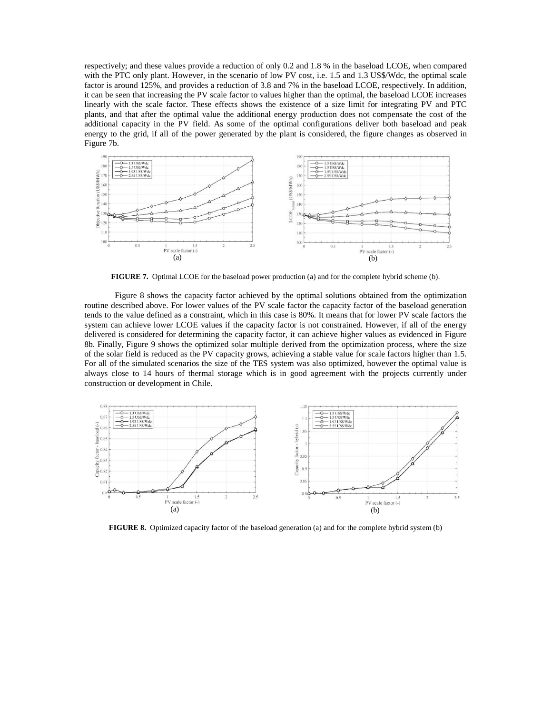respectively; and these values provide a reduction of only 0.2 and 1.8 % in the baseload LCOE, when compared with the PTC only plant. However, in the scenario of low PV cost, i.e. 1.5 and 1.3 US\$/Wdc, the optimal scale factor is around 125%, and provides a reduction of 3.8 and 7% in the baseload LCOE, respectively. In addition, it can be seen that increasing the PV scale factor to values higher than the optimal, the baseload LCOE increases linearly with the scale factor. These effects shows the existence of a size limit for integrating PV and PTC plants, and that after the optimal value the additional energy production does not compensate the cost of the additional capacity in the PV field. As some of the optimal configurations deliver both baseload and peak energy to the grid, if all of the power generated by the plant is considered, the figure changes as observed in Figure 7b.



**FIGURE 7.** Optimal LCOE for the baseload power production (a) and for the complete hybrid scheme (b).

Figure 8 shows the capacity factor achieved by the optimal solutions obtained from the optimization routine described above. For lower values of the PV scale factor the capacity factor of the baseload generation tends to the value defined as a constraint, which in this case is 80%. It means that for lower PV scale factors the system can achieve lower LCOE values if the capacity factor is not constrained. However, if all of the energy delivered is considered for determining the capacity factor, it can achieve higher values as evidenced in Figure 8b. Finally, Figure 9 shows the optimized solar multiple derived from the optimization process, where the size of the solar field is reduced as the PV capacity grows, achieving a stable value for scale factors higher than 1.5. For all of the simulated scenarios the size of the TES system was also optimized, however the optimal value is always close to 14 hours of thermal storage which is in good agreement with the projects currently under construction or development in Chile.



**FIGURE 8.** Optimized capacity factor of the baseload generation (a) and for the complete hybrid system (b)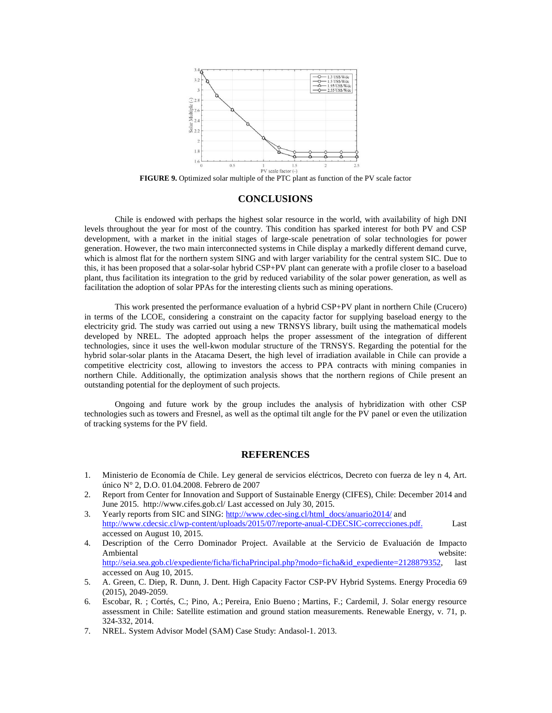

**FIGURE 9.** Optimized solar multiple of the PTC plant as function of the PV scale factor

## **CONCLUSIONS**

Chile is endowed with perhaps the highest solar resource in the world, with availability of high DNI levels throughout the year for most of the country. This condition has sparked interest for both PV and CSP development, with a market in the initial stages of large-scale penetration of solar technologies for power generation. However, the two main interconnected systems in Chile display a markedly different demand curve, which is almost flat for the northern system SING and with larger variability for the central system SIC. Due to this, it has been proposed that a solar-solar hybrid CSP+PV plant can generate with a profile closer to a baseload plant, thus facilitation its integration to the grid by reduced variability of the solar power generation, as well as facilitation the adoption of solar PPAs for the interesting clients such as mining operations.

This work presented the performance evaluation of a hybrid CSP+PV plant in northern Chile (Crucero) in terms of the LCOE, considering a constraint on the capacity factor for supplying baseload energy to the electricity grid. The study was carried out using a new TRNSYS library, built using the mathematical models developed by NREL. The adopted approach helps the proper assessment of the integration of different technologies, since it uses the well-kwon modular structure of the TRNSYS. Regarding the potential for the hybrid solar-solar plants in the Atacama Desert, the high level of irradiation available in Chile can provide a competitive electricity cost, allowing to investors the access to PPA contracts with mining companies in northern Chile. Additionally, the optimization analysis shows that the northern regions of Chile present an outstanding potential for the deployment of such projects.

Ongoing and future work by the group includes the analysis of hybridization with other CSP technologies such as towers and Fresnel, as well as the optimal tilt angle for the PV panel or even the utilization of tracking systems for the PV field.

#### **REFERENCES**

- 1. Ministerio de Economía de Chile. Ley general de servicios eléctricos, Decreto con fuerza de ley n 4, Art. único N° 2, D.O. 01.04.2008. Febrero de 2007
- 2. Report from Center for Innovation and Support of Sustainable Energy (CIFES), Chile: December 2014 and June 2015. http://www.cifes.gob.cl/ Last accessed on July 30, 2015.
- 3. Yearly reports from SIC and SING: http://www.cdec-sing.cl/html\_docs/anuario2014/ and http://www.cdecsic.cl/wp-content/uploads/2015/07/reporte-anual-CDECSIC-correcciones.pdf. Last accessed on August 10, 2015.
- 4. Description of the Cerro Dominador Project. Available at the Servicio de Evaluación de Impacto Ambiental website: http://seia.sea.gob.cl/expediente/ficha/fichaPrincipal.php?modo=ficha&id\_expediente=2128879352, last accessed on Aug 10, 2015.
- 5. A. Green, C. Diep, R. Dunn, J. Dent. High Capacity Factor CSP-PV Hybrid Systems. Energy Procedia 69 (2015), 2049-2059.
- 6. Escobar, R. ; Cortés, C.; Pino, A.; Pereira, Enio Bueno ; Martins, F.; Cardemil, J. Solar energy resource assessment in Chile: Satellite estimation and ground station measurements. Renewable Energy, v. 71, p. 324-332, 2014.
- 7. NREL. System Advisor Model (SAM) Case Study: Andasol-1. 2013.